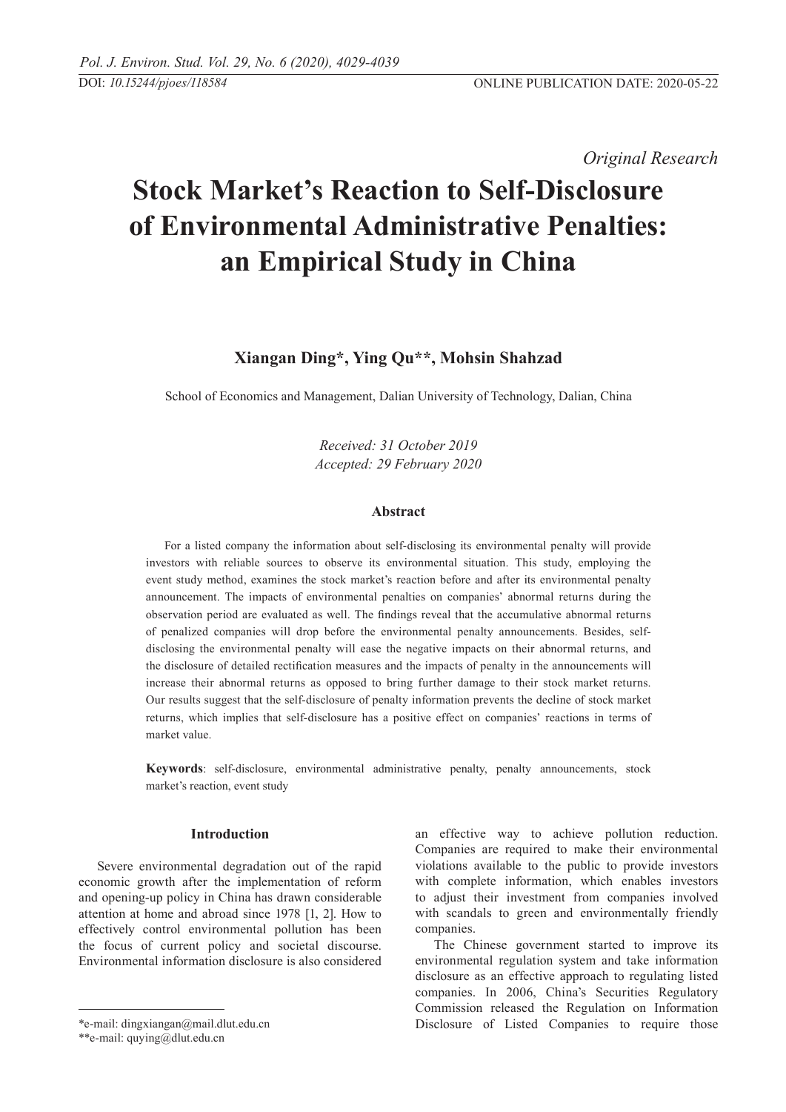*Original Research* 

# **Stock Market's Reaction to Self-Disclosure of Environmental Administrative Penalties: an empirical study in China**

## **Xiangan Ding\*, Ying Qu\*\*, Mohsin Shahzad**

School of Economics and Management, Dalian University of Technology, Dalian, China

*Received: 31 October 2019 Accepted: 29 February 2020*

## **Abstract**

For a listed company the information about self-disclosing its environmental penalty will provide investors with reliable sources to observe its environmental situation. This study, employing the event study method, examines the stock market's reaction before and after its environmental penalty announcement. The impacts of environmental penalties on companies' abnormal returns during the observation period are evaluated as well. The findings reveal that the accumulative abnormal returns of penalized companies will drop before the environmental penalty announcements. Besides, selfdisclosing the environmental penalty will ease the negative impacts on their abnormal returns, and the disclosure of detailed rectification measures and the impacts of penalty in the announcements will increase their abnormal returns as opposed to bring further damage to their stock market returns. Our results suggest that the self-disclosure of penalty information prevents the decline of stock market returns, which implies that self-disclosure has a positive effect on companies' reactions in terms of market value.

**Keywords**: self-disclosure, environmental administrative penalty, penalty announcements, stock market's reaction, event study

## **Introduction**

Severe environmental degradation out of the rapid economic growth after the implementation of reform and opening-up policy in China has drawn considerable attention at home and abroad since 1978 [1, 2]. How to effectively control environmental pollution has been the focus of current policy and societal discourse. Environmental information disclosure is also considered an effective way to achieve pollution reduction. Companies are required to make their environmental violations available to the public to provide investors with complete information, which enables investors to adjust their investment from companies involved with scandals to green and environmentally friendly companies.

The Chinese government started to improve its environmental regulation system and take information disclosure as an effective approach to regulating listed companies. In 2006, China's Securities Regulatory Commission released the Regulation on Information Disclosure of Listed Companies to require those

<sup>\*</sup>e-mail: dingxiangan@mail.dlut.edu.cn

<sup>\*\*</sup>e-mail: quying@dlut.edu.cn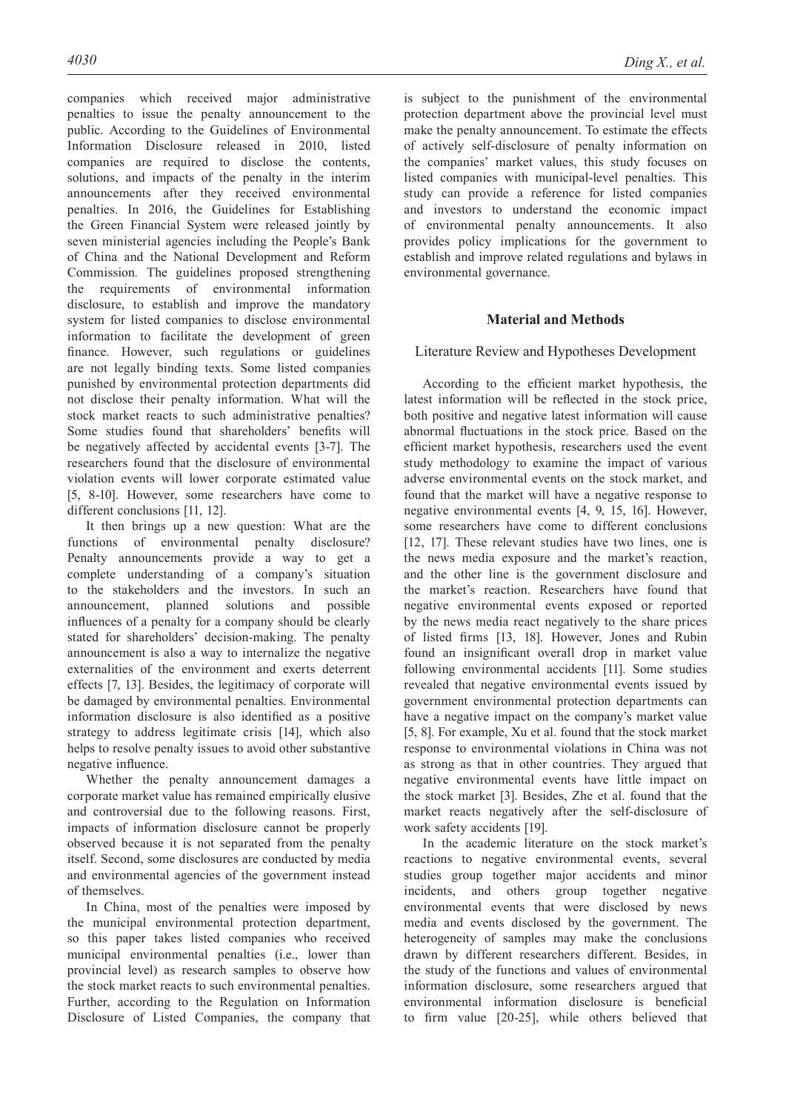companies which received major administrative penalties to issue the penalty announcement to the public. According to the Guidelines of Environmental Information Disclosure released in 2010, listed companies are required to disclose the contents, solutions, and impacts of the penalty in the interim announcements after they received environmental penalties. In 2016, the Guidelines for Establishing the Green Financial System were released jointly by seven ministerial agencies including the People's Bank of China and the National Development and Reform Commission*.* The guidelines proposed strengthening the requirements of environmental information disclosure, to establish and improve the mandatory system for listed companies to disclose environmental information to facilitate the development of green finance. However, such regulations or guidelines are not legally binding texts. Some listed companies punished by environmental protection departments did not disclose their penalty information. What will the stock market reacts to such administrative penalties? Some studies found that shareholders' benefits will be negatively affected by accidental events [3-7]. The researchers found that the disclosure of environmental violation events will lower corporate estimated value [5, 8-10]. However, some researchers have come to different conclusions [11, 12].

It then brings up a new question: What are the functions of environmental penalty disclosure? Penalty announcements provide a way to get a complete understanding of a company's situation to the stakeholders and the investors. In such an announcement, planned solutions and possible influences of a penalty for a company should be clearly stated for shareholders' decision-making. The penalty announcement is also a way to internalize the negative externalities of the environment and exerts deterrent effects [7, 13]. Besides, the legitimacy of corporate will be damaged by environmental penalties. Environmental information disclosure is also identified as a positive strategy to address legitimate crisis [14], which also helps to resolve penalty issues to avoid other substantive negative influence.

Whether the penalty announcement damages a corporate market value has remained empirically elusive and controversial due to the following reasons. First, impacts of information disclosure cannot be properly observed because it is not separated from the penalty itself. Second, some disclosures are conducted by media and environmental agencies of the government instead of themselves.

In China, most of the penalties were imposed by the municipal environmental protection department, so this paper takes listed companies who received municipal environmental penalties (i.e., lower than provincial level) as research samples to observe how the stock market reacts to such environmental penalties. Further, according to the Regulation on Information Disclosure of Listed Companies, the company that is subject to the punishment of the environmental protection department above the provincial level must make the penalty announcement. To estimate the effects of actively self-disclosure of penalty information on the companies' market values, this study focuses on listed companies with municipal-level penalties. This study can provide a reference for listed companies and investors to understand the economic impact of environmental penalty announcements. It also provides policy implications for the government to establish and improve related regulations and bylaws in environmental governance.

## **Material and Methods**

## Literature Review and Hypotheses Development

According to the efficient market hypothesis, the latest information will be reflected in the stock price, both positive and negative latest information will cause abnormal fluctuations in the stock price. Based on the efficient market hypothesis, researchers used the event study methodology to examine the impact of various adverse environmental events on the stock market, and found that the market will have a negative response to negative environmental events [4, 9, 15, 16]. However, some researchers have come to different conclusions [12, 17]. These relevant studies have two lines, one is the news media exposure and the market's reaction, and the other line is the government disclosure and the market's reaction. Researchers have found that negative environmental events exposed or reported by the news media react negatively to the share prices of listed firms [13, 18]. However, Jones and Rubin found an insignificant overall drop in market value following environmental accidents [11]. Some studies revealed that negative environmental events issued by government environmental protection departments can have a negative impact on the company's market value [5, 8]. For example, Xu et al. found that the stock market response to environmental violations in China was not as strong as that in other countries. They argued that negative environmental events have little impact on the stock market [3]. Besides, Zhe et al. found that the market reacts negatively after the self-disclosure of work safety accidents [19].

In the academic literature on the stock market's reactions to negative environmental events, several studies group together major accidents and minor incidents, and others group together negative environmental events that were disclosed by news media and events disclosed by the government. The heterogeneity of samples may make the conclusions drawn by different researchers different. Besides, in the study of the functions and values of environmental information disclosure, some researchers argued that environmental information disclosure is beneficial to firm value [20-25], while others believed that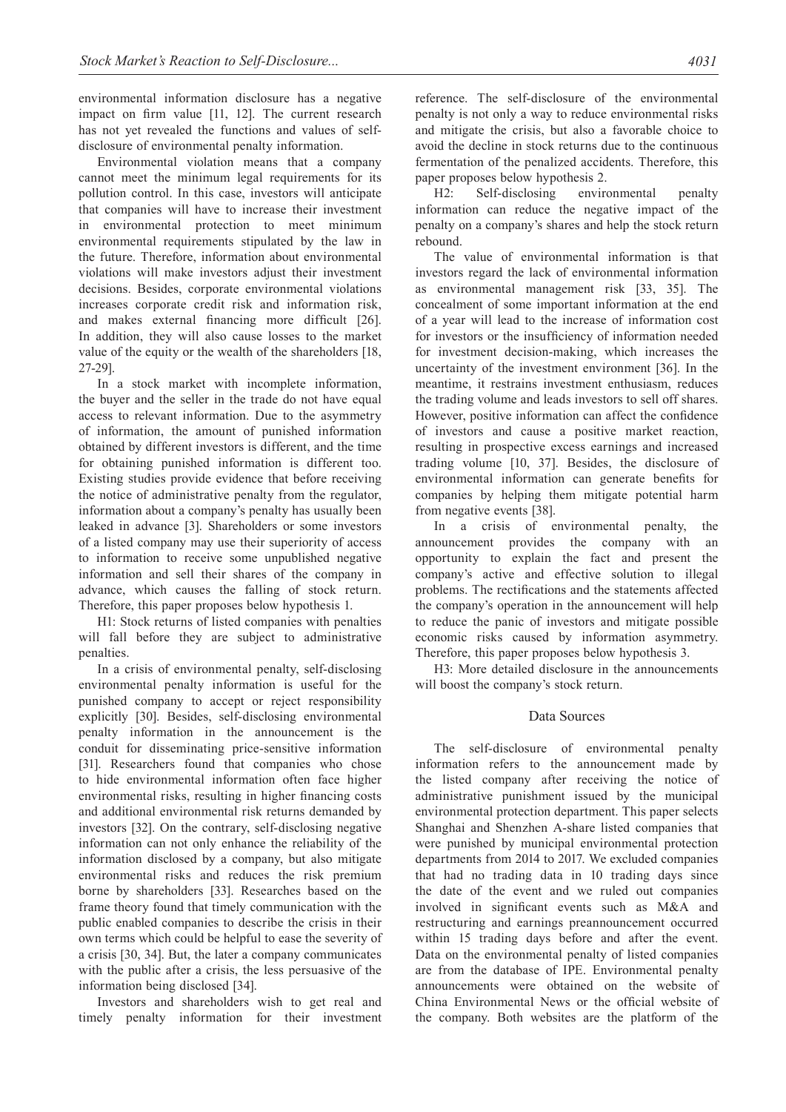environmental information disclosure has a negative impact on firm value [11, 12]. The current research has not yet revealed the functions and values of selfdisclosure of environmental penalty information.

Environmental violation means that a company cannot meet the minimum legal requirements for its pollution control. In this case, investors will anticipate that companies will have to increase their investment in environmental protection to meet minimum environmental requirements stipulated by the law in the future. Therefore, information about environmental violations will make investors adjust their investment decisions. Besides, corporate environmental violations increases corporate credit risk and information risk, and makes external financing more difficult [26]. In addition, they will also cause losses to the market value of the equity or the wealth of the shareholders [18, 27-29].

In a stock market with incomplete information, the buyer and the seller in the trade do not have equal access to relevant information. Due to the asymmetry of information, the amount of punished information obtained by different investors is different, and the time for obtaining punished information is different too. Existing studies provide evidence that before receiving the notice of administrative penalty from the regulator, information about a company's penalty has usually been leaked in advance [3]. Shareholders or some investors of a listed company may use their superiority of access to information to receive some unpublished negative information and sell their shares of the company in advance, which causes the falling of stock return. Therefore, this paper proposes below hypothesis 1.

H1: Stock returns of listed companies with penalties will fall before they are subject to administrative penalties.

In a crisis of environmental penalty, self-disclosing environmental penalty information is useful for the punished company to accept or reject responsibility explicitly [30]. Besides, self-disclosing environmental penalty information in the announcement is the conduit for disseminating price-sensitive information [31]. Researchers found that companies who chose to hide environmental information often face higher environmental risks, resulting in higher financing costs and additional environmental risk returns demanded by investors [32]. On the contrary, self-disclosing negative information can not only enhance the reliability of the information disclosed by a company, but also mitigate environmental risks and reduces the risk premium borne by shareholders [33]. Researches based on the frame theory found that timely communication with the public enabled companies to describe the crisis in their own terms which could be helpful to ease the severity of a crisis [30, 34]. But, the later a company communicates with the public after a crisis, the less persuasive of the information being disclosed [34].

Investors and shareholders wish to get real and timely penalty information for their investment reference. The self-disclosure of the environmental penalty is not only a way to reduce environmental risks and mitigate the crisis, but also a favorable choice to avoid the decline in stock returns due to the continuous fermentation of the penalized accidents. Therefore, this paper proposes below hypothesis 2.

H2: Self-disclosing environmental penalty information can reduce the negative impact of the penalty on a company's shares and help the stock return rebound.

The value of environmental information is that investors regard the lack of environmental information as environmental management risk [33, 35]. The concealment of some important information at the end of a year will lead to the increase of information cost for investors or the insufficiency of information needed for investment decision-making, which increases the uncertainty of the investment environment [36]. In the meantime, it restrains investment enthusiasm, reduces the trading volume and leads investors to sell off shares. However, positive information can affect the confidence of investors and cause a positive market reaction, resulting in prospective excess earnings and increased trading volume [10, 37]. Besides, the disclosure of environmental information can generate benefits for companies by helping them mitigate potential harm from negative events [38].

In a crisis of environmental penalty, the announcement provides the company with an opportunity to explain the fact and present the company's active and effective solution to illegal problems. The rectifications and the statements affected the company's operation in the announcement will help to reduce the panic of investors and mitigate possible economic risks caused by information asymmetry. Therefore, this paper proposes below hypothesis 3.

H3: More detailed disclosure in the announcements will boost the company's stock return.

## Data Sources

The self-disclosure of environmental penalty information refers to the announcement made by the listed company after receiving the notice of administrative punishment issued by the municipal environmental protection department. This paper selects Shanghai and Shenzhen A-share listed companies that were punished by municipal environmental protection departments from 2014 to 2017. We excluded companies that had no trading data in 10 trading days since the date of the event and we ruled out companies involved in significant events such as M&A and restructuring and earnings preannouncement occurred within 15 trading days before and after the event. Data on the environmental penalty of listed companies are from the database of IPE. Environmental penalty announcements were obtained on the website of China Environmental News or the official website of the company. Both websites are the platform of the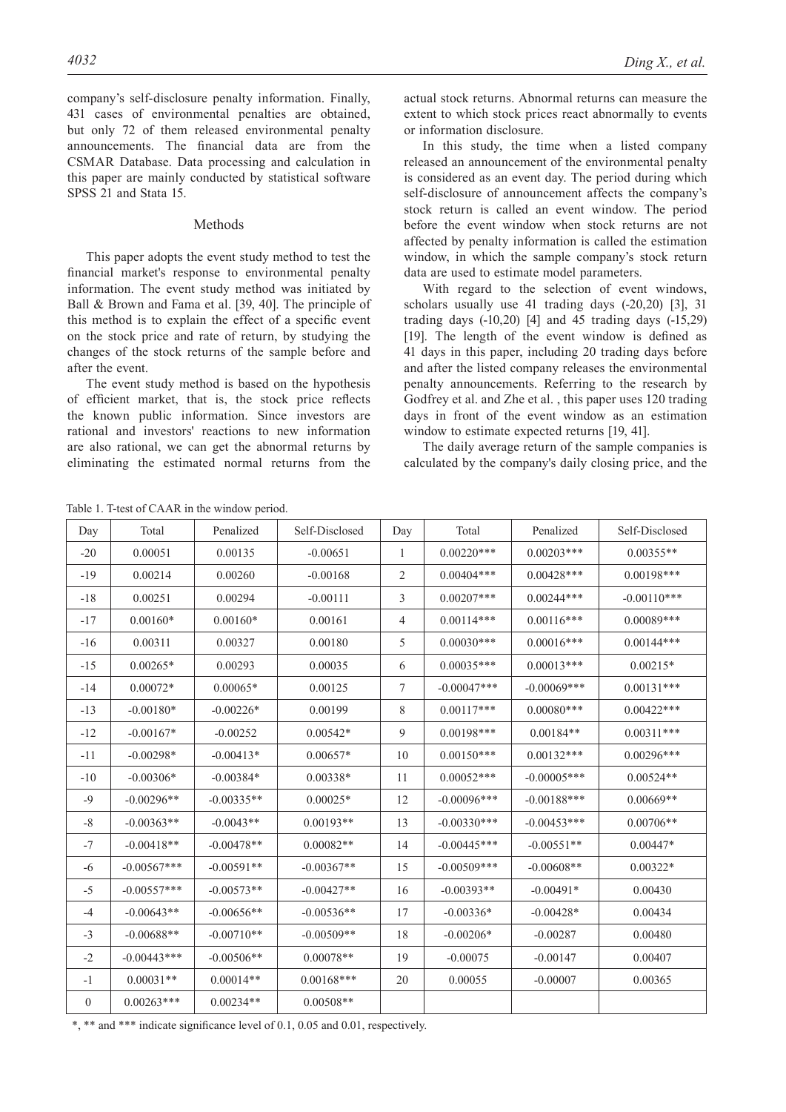company's self-disclosure penalty information. Finally, 431 cases of environmental penalties are obtained, but only 72 of them released environmental penalty announcements. The financial data are from the CSMAR Database. Data processing and calculation in this paper are mainly conducted by statistical software SPSS 21 and Stata 15.

#### Methods

This paper adopts the event study method to test the financial market's response to environmental penalty information. The event study method was initiated by Ball & Brown and Fama et al. [39, 40]. The principle of this method is to explain the effect of a specific event on the stock price and rate of return, by studying the changes of the stock returns of the sample before and after the event.

The event study method is based on the hypothesis of efficient market, that is, the stock price reflects the known public information. Since investors are rational and investors' reactions to new information are also rational, we can get the abnormal returns by eliminating the estimated normal returns from the

actual stock returns. Abnormal returns can measure the extent to which stock prices react abnormally to events or information disclosure.

In this study, the time when a listed company released an announcement of the environmental penalty is considered as an event day. The period during which self-disclosure of announcement affects the company's stock return is called an event window. The period before the event window when stock returns are not affected by penalty information is called the estimation window, in which the sample company's stock return data are used to estimate model parameters.

With regard to the selection of event windows, scholars usually use 41 trading days (-20,20) [3], 31 trading days (-10,20) [4] and 45 trading days (-15,29) [19]. The length of the event window is defined as 41 days in this paper, including 20 trading days before and after the listed company releases the environmental penalty announcements. Referring to the research by Godfrey et al. and Zhe et al. , this paper uses 120 trading days in front of the event window as an estimation window to estimate expected returns [19, 41].

The daily average return of the sample companies is calculated by the company's daily closing price, and the

Table 1. T-test of CAAR in the window period.

Day Total Penalized Self-Disclosed Day Total Penalized Self-Disclosed  $-20$  | 0.00051 | 0.00135 |  $-0.00651$  | 1 |  $0.00220***$  |  $0.00203***$  |  $0.00355**$ -19 0.00214 0.00260 -0.00168 2 0.00404\*\*\* 0.00428\*\*\* 0.00198\*\*\*  $-18$   $0.00251$   $0.00294$   $-0.00111$   $3$   $0.00207***$   $0.00244***$   $-0.00110***$ -17 0.00160\* 0.00160\* 0.00161 4 0.00114\*\*\* 0.00116\*\*\* 0.00089\*\*\* -16 0.00311 0.00327 0.00180 5 0.00030\*\*\* 0.00016\*\*\* 0.00144\*\*\* -15 0.00265\* 0.00293 0.00035 6 0.00035\*\*\* 0.00013\*\*\* 0.00215\* -14 0.00072\* 0.00065\* 0.00125 7 -0.00047\*\*\* -0.00069\*\*\* 0.00131\*\*\* -13 -0.00180\* -0.00226\* 0.00199 8 0.00117\*\*\* 0.00080\*\*\* 0.00422\*\*\* -12 -0.00167\* -0.00252 0.00542\* 9 0.00198\*\*\* 0.00184\*\* 0.00311\*\*\*  $-11$   $-0.00298*$   $-0.00413*$   $0.00657*$   $10$   $0.00150***$   $0.00132***$   $0.00296***$  $-10$   $-0.00306*$   $-0.00384*$   $0.00338*$  11  $0.00052***$   $-0.00005***$  0.00524 $**$ -9 | -0.00296\*\* | -0.00335\*\* | 0.00025\* | 12 | -0.00096\*\*\* | -0.00188\*\*\* | 0.00669\*\* -8 | -0.00363\*\* | -0.0043\*\* | 0.00193\*\* | 13 | -0.00330\*\*\* | -0.00453\*\*\* | 0.00706\*\* -7 -0.00418\*\* -0.00478\*\* 0.00082\*\* 14 -0.00445\*\*\* -0.00551\*\* 0.00447\*  $-6$   $-0.00567***$   $-0.00591**$   $-0.00367**$   $15$   $-0.00509***$   $-0.00608**$  0.00322\* -5 | -0.00557\*\*\* | -0.00573\*\* | -0.00427\*\* | 16 | -0.00393\*\* | -0.00491\* | 0.00430 -4 | -0.00643\*\* | -0.00656\*\* | -0.00536\*\* | 17 | -0.00336\* | -0.00428\* | 0.00434  $-3$   $-0.00688**$   $-0.00710**$   $-0.00509**$   $18$   $-0.00206*$   $-0.00287$   $-0.00480$ -2 | -0.00443\*\*\* | -0.00506\*\* | 0.00078\*\* | 19 | -0.00075 | -0.00147 | 0.00407  $-1$   $0.00031^{**}$   $0.00014^{**}$   $0.00168^{***}$   $20$   $0.00055$   $-0.00007$   $0.00365$  $0 \quad 0.00263*** \quad 0.00234** \quad 0.00508**$ 

\*, \*\* and \*\*\* indicate significance level of 0.1, 0.05 and 0.01, respectively.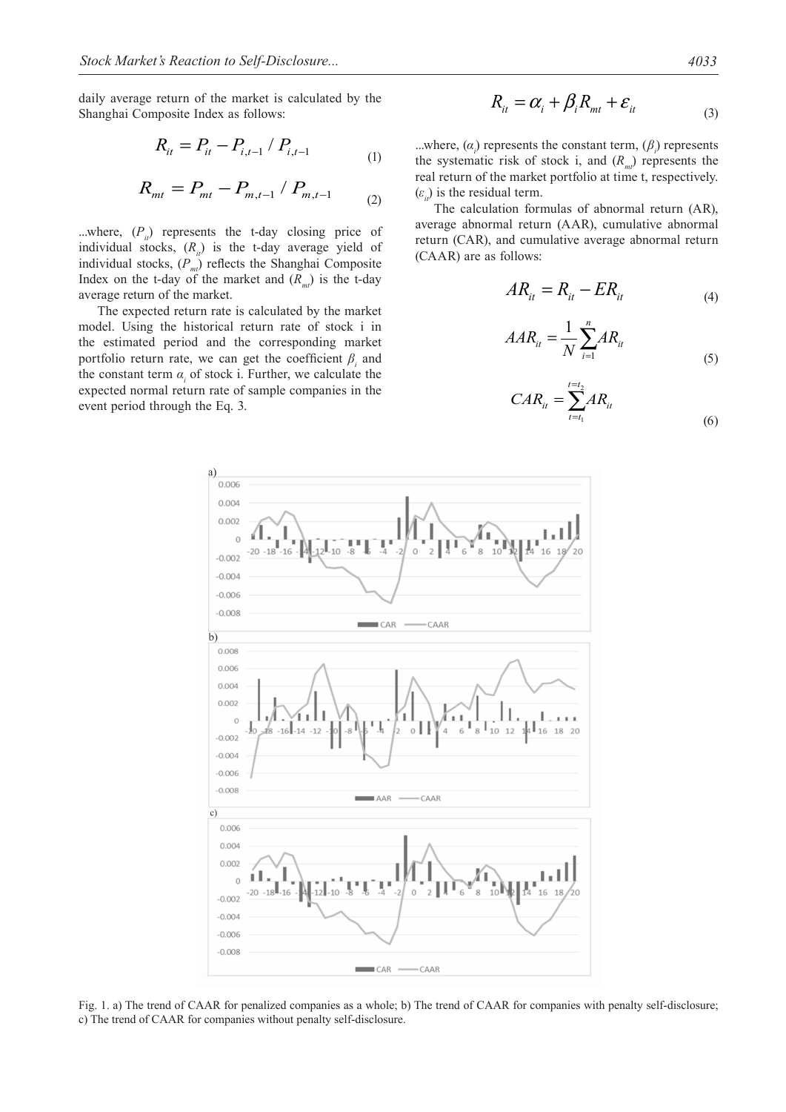daily average return of the market is calculated by the Shanghai Composite Index as follows:

$$
R_{it} = P_{it} - P_{i,t-1} / P_{i,t-1}
$$
 (1)

$$
R_{mt} = P_{mt} - P_{m,t-1} / P_{m,t-1}
$$
 (2)

...where,  $(P_{ij})$  represents the t-day closing price of individual stocks,  $(R_n)$  is the t-day average yield of individual stocks,  $(P_m)$  reflects the Shanghai Composite Index on the t-day of the market and  $(R_m)$  is the t-day average return of the market.

The expected return rate is calculated by the market model. Using the historical return rate of stock i in the estimated period and the corresponding market portfolio return rate, we can get the coefficient  $\beta$ <sup>*i*</sup> and the constant term  $\alpha_i$  of stock i. Further, we calculate the expected normal return rate of sample companies in the event period through the Eq. 3.

$$
R_{it} = \alpha_i + \beta_i R_{mt} + \varepsilon_{it}
$$
 (3)

...where,  $(\alpha_i)$  represents the constant term,  $(\beta_i)$  represents the systematic risk of stock i, and  $(R_m)$  represents the real return of the market portfolio at time t, respectively.  $(\varepsilon)$  is the residual term.

The calculation formulas of abnormal return (AR), average abnormal return (AAR), cumulative abnormal return (CAR), and cumulative average abnormal return (CAAR) are as follows:

$$
AR_{it} = R_{it} - ER_{it}
$$
 (4)

$$
AAR_{it} = \frac{1}{N} \sum_{i=1}^{n} AR_{it}
$$
\n<sup>(5)</sup>

$$
CAR_{it} = \sum_{t=t_1}^{t=t_2} AR_{it}
$$
 (6)



Fig. 1. a) The trend of CAAR for penalized companies as a whole; b) The trend of CAAR for companies with penalty self-disclosure; c) The trend of CAAR for companies without penalty self-disclosure.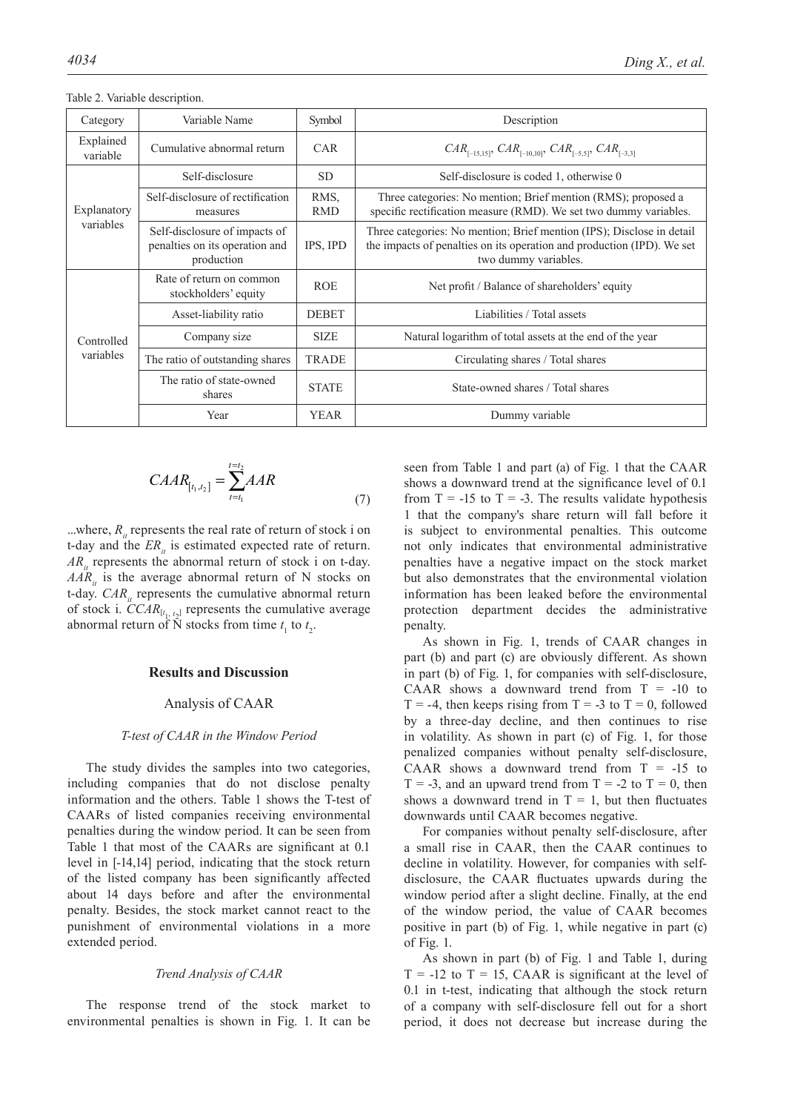| Category              | Variable Name                                                                 | Symbol             | Description                                                                                                                                                             |
|-----------------------|-------------------------------------------------------------------------------|--------------------|-------------------------------------------------------------------------------------------------------------------------------------------------------------------------|
| Explained<br>variable | Cumulative abnormal return                                                    | <b>CAR</b>         | $CAR_{[-15,15]}$ , $CAR_{[-10,10]}$ , $CAR_{[-5,5]}$ , $CAR_{[-3,3]}$                                                                                                   |
|                       | Self-disclosure                                                               | <b>SD</b>          | Self-disclosure is coded 1, otherwise 0                                                                                                                                 |
| Explanatory           | Self-disclosure of rectification<br>measures                                  | RMS,<br><b>RMD</b> | Three categories: No mention; Brief mention (RMS); proposed a<br>specific rectification measure (RMD). We set two dummy variables.                                      |
| variables             | Self-disclosure of impacts of<br>penalties on its operation and<br>production | IPS, IPD           | Three categories: No mention; Brief mention (IPS); Disclose in detail<br>the impacts of penalties on its operation and production (IPD). We set<br>two dummy variables. |
|                       | Rate of return on common<br>stockholders' equity                              | <b>ROE</b>         | Net profit / Balance of shareholders' equity                                                                                                                            |
|                       | Asset-liability ratio                                                         | <b>DEBET</b>       | Liabilities / Total assets                                                                                                                                              |
| Controlled            | Company size                                                                  | <b>SIZE</b>        | Natural logarithm of total assets at the end of the year                                                                                                                |
| variables             | The ratio of outstanding shares                                               | <b>TRADE</b>       | Circulating shares / Total shares                                                                                                                                       |
|                       | The ratio of state-owned<br>shares                                            | <b>STATE</b>       | State-owned shares / Total shares                                                                                                                                       |
|                       | Year                                                                          | <b>YEAR</b>        | Dummy variable                                                                                                                                                          |

Table 2. Variable description.

$$
CABA_{[t_1,t_2]} = \sum_{t=t_1}^{t=t_2} AAR
$$
\n(7)

...where,  $R_1$  represents the real rate of return of stock i on t-day and the *ER<sub>it</sub>* is estimated expected rate of return.  $AR<sub>i</sub>$  represents the abnormal return of stock i on t-day.  $AAR<sub>u</sub>$  is the average abnormal return of N stocks on t-day.  $CAR_{it}$  represents the cumulative abnormal return of stock i.  $CCAR_{[t_1, t_2]}$  represents the cumulative average abnormal return of  $\bar{N}$  stocks from time  $t_1$  to  $t_2$ .

## **Results and Discussion**

## Analysis of CAAR

#### *T-test of CAAR in the Window Period*

The study divides the samples into two categories, including companies that do not disclose penalty information and the others. Table 1 shows the T-test of CAARs of listed companies receiving environmental penalties during the window period. It can be seen from Table 1 that most of the CAARs are significant at 0.1 level in [-14,14] period, indicating that the stock return of the listed company has been significantly affected about 14 days before and after the environmental penalty. Besides, the stock market cannot react to the punishment of environmental violations in a more extended period.

#### *Trend Analysis of CAAR*

The response trend of the stock market to environmental penalties is shown in Fig. 1. It can be seen from Table 1 and part (a) of Fig. 1 that the CAAR shows a downward trend at the significance level of 0.1 from  $T = -15$  to  $T = -3$ . The results validate hypothesis 1 that the company's share return will fall before it is subject to environmental penalties. This outcome not only indicates that environmental administrative penalties have a negative impact on the stock market but also demonstrates that the environmental violation information has been leaked before the environmental protection department decides the administrative penalty.

As shown in Fig. 1, trends of CAAR changes in part (b) and part (c) are obviously different. As shown in part (b) of Fig. 1, for companies with self-disclosure, CAAR shows a downward trend from  $T = -10$  to  $T = -4$ , then keeps rising from  $T = -3$  to  $T = 0$ , followed by a three-day decline, and then continues to rise in volatility. As shown in part (c) of Fig. 1, for those penalized companies without penalty self-disclosure, CAAR shows a downward trend from  $T = -15$  to  $T = -3$ , and an upward trend from  $T = -2$  to  $T = 0$ , then shows a downward trend in  $T = 1$ , but then fluctuates downwards until CAAR becomes negative.

For companies without penalty self-disclosure, after a small rise in CAAR, then the CAAR continues to decline in volatility. However, for companies with selfdisclosure, the CAAR fluctuates upwards during the window period after a slight decline. Finally, at the end of the window period, the value of CAAR becomes positive in part (b) of Fig. 1, while negative in part (c) of Fig. 1.

As shown in part (b) of Fig. 1 and Table 1, during  $T = -12$  to  $T = 15$ , CAAR is significant at the level of 0.1 in t-test, indicating that although the stock return of a company with self-disclosure fell out for a short period, it does not decrease but increase during the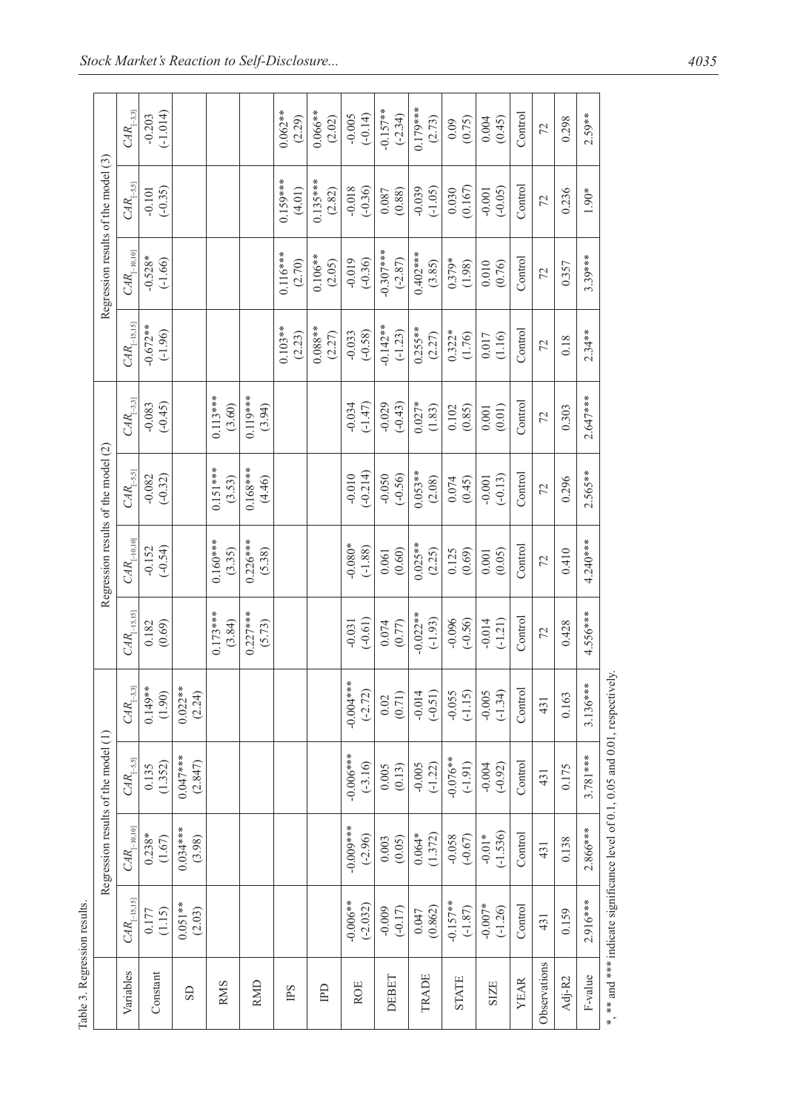| Regression results of the model (1) |                           |                          |                                             | Regression results of the model (2) |                         |                                |                           | Regression results of the model (3) |                       |                          |
|-------------------------------------|---------------------------|--------------------------|---------------------------------------------|-------------------------------------|-------------------------|--------------------------------|---------------------------|-------------------------------------|-----------------------|--------------------------|
| $\mathit{CAR}_{[-10,10]}$           | $\mathit{CAR}_{[-5,5]}$   | $\mathit{CAR}_{[-3,3]}$  | $\mathbb{C}\mathbb{A}\mathbb{R}_{[-15,15]}$ | $\mathit{CAR}_{[-10,10]}$           | $\mathit{CAR}_{[-5,5]}$ | $\mathit{CAR}_{\text{[-3,3]}}$ | $\mathit{CAR}_{[-15,15]}$ | $\mathit{CAR}_{[-10,10]}$           | $CAR_{\text{[-5,5]}}$ | $\mathit{CAR}_{\boxdot}$ |
| $0.238*$<br>(1.67)                  | (1.352)<br>0.135          | $0.149**$<br>(1.90)      | (0.69)<br>0.182                             | $(-0.54)$<br>$-0.152$               | $-0.082$<br>$(-0.32)$   | $-0.083$<br>$(-0.45)$          | $-0.672**$<br>$(-1.96)$   | $-0.528*$<br>$(-1.66)$              | $(-0.35)$<br>$-0.101$ | $(-1.014)$<br>$-0.203$   |
| $0.034***$<br>(3.98)                | $0.047***$<br>(2.847)     | $0.022**$<br>(2.24)      |                                             |                                     |                         |                                |                           |                                     |                       |                          |
|                                     |                           |                          | $0.173***$<br>(3.84)                        | $0.160***$<br>(3.35)                | $0.151***$<br>(3.53)    | $0.113***$<br>(3.60)           |                           |                                     |                       |                          |
|                                     |                           |                          | $0.227***$<br>(5.73)                        | $0.226***$<br>(5.38)                | $0.168***$<br>(4.46)    | $0.119***$<br>(3.94)           |                           |                                     |                       |                          |
|                                     |                           |                          |                                             |                                     |                         |                                | $0.103**$<br>(2.23)       | $0.116***$<br>(2.70)                | $0.159***$<br>(4.01)  | $0.062**$<br>(2.29)      |
|                                     |                           |                          |                                             |                                     |                         |                                | $0.088**$<br>(2.27)       | $0.106**$<br>(2.05)                 | $0.135***$<br>(2.82)  | $0.066**$<br>(2.02)      |
| $****$<br>$(-2.96)$                 | $-0.006$ ***<br>$(-3.16)$ | $-0.004***$<br>$(-2.72)$ | $(-0.61)$<br>$-0.031$                       | $-0.080*$<br>$(-1.88)$              | $(-0.214)$<br>$-0.010$  | $-0.034$<br>$(-1.47)$          | $(-0.58)$<br>$-0.033$     | $(-0.36)$<br>$-0.019$               | $-0.018$<br>$(-0.36)$ | $-0.005$<br>$(-0.14)$    |
| (0.05)<br>0.003                     | (0.13)<br>0.005           | (0.71)<br>$0.02\,$       | 0.074<br>(0.77)                             | (0.60)<br>0.061                     | $-0.050$<br>$(-0.56)$   | $(-0.43)$<br>$-0.029$          | $-0.142**$<br>$(-1.23)$   | $-0.307$ ***<br>$(-2.87)$           | (0.087)               | $-0.157**$<br>$(-2.34)$  |
| (1.372)<br>$0.064*$                 | $-0.005$<br>$(-1.22)$     | $-0.014$<br>$(-0.51)$    | $-0.022**$<br>$(-1.93)$                     | $0.025**$<br>(2.25)                 | $0.053**$<br>(2.08)     | $0.027*$<br>(1.83)             | $0.255**$<br>(2.27)       | $0.402***$<br>(3.85)                | $-0.039$<br>$(-1.05)$ | $0.179***$<br>(2.73)     |
| $-0.058$<br>$(-0.67)$               | $-0.076**$<br>$(-1.91)$   | $-0.055$<br>$(-1.15)$    | $(-0.56)$<br>$-0.096$                       | (0.69)<br>0.125                     | 0.074<br>(0.45)         | (0.85)<br>0.102                | $0.322*$<br>(1.76)        | $0.379*$<br>(1.98)                  | (0.167)<br>0.030      | (0.75)                   |
| $(-1.536)$<br>$-0.01*$              | $-0.004$<br>$(-0.92)$     | $-0.005$<br>$(-1.34)$    | $-0.014$<br>$(-1.21)$                       | (0.05)<br>0.001                     | $(-0.13)$<br>$-0.001$   | (0.01)<br>0.001                | 0.017<br>(1.16)           | 0.010<br>(0.76)                     | $(-0.05)$<br>$-0.001$ | (0.45)<br>0.004          |
| Control                             | Control                   | Control                  | Control                                     | Control                             | Control                 | Control                        | Control                   | Control                             | Control               | $\frac{1}{2}$            |
| 431                                 | 431                       | 431                      | 72                                          | 72                                  | 72                      | 72                             | 72                        | 72                                  | 72                    | 72                       |
| 0.138                               | 0.175                     | 0.163                    | 0.428                                       | 0.410                               | 0.296                   | 0.303                          | 0.18                      | 0.357                               | 0.236                 | 0.298                    |
| $2.866***$                          | $3.781***$                | $3.136***$               | $4.556***$                                  | $4.240***$                          | $2.565**$               | $2.647***$                     | $2.34**$                  | $3.39***$                           | $1.90*$               | $2.59**$                 |

\*, \*\* and \*\*\* indicate significance level of 0.1, 0.05 and 0.01, respectively. \*, \*\* and \*\*\* indicate significance level of 0.1, 0.05 and 0.01, respectively.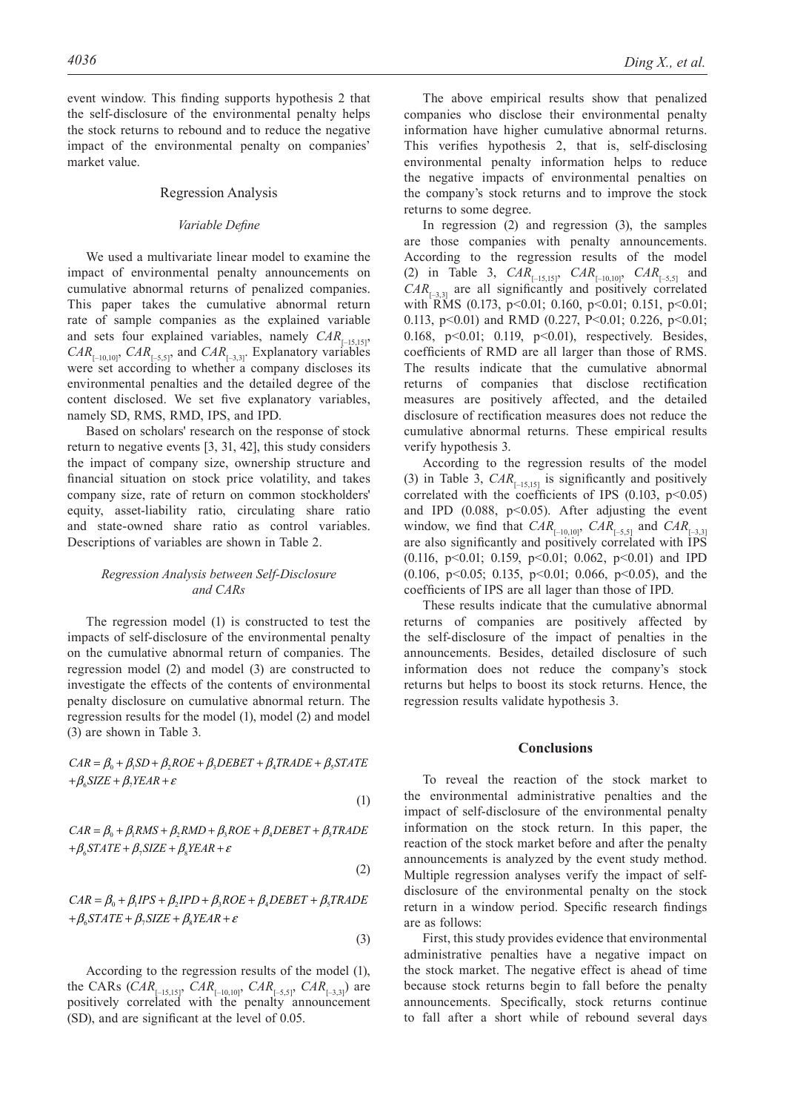event window. This finding supports hypothesis 2 that the self-disclosure of the environmental penalty helps the stock returns to rebound and to reduce the negative impact of the environmental penalty on companies' market value.

## Regression Analysis

## *Variable Define*

We used a multivariate linear model to examine the impact of environmental penalty announcements on cumulative abnormal returns of penalized companies. This paper takes the cumulative abnormal return rate of sample companies as the explained variable and sets four explained variables, namely  $CAR_{[-15,15]}$ ,  $CAR_{[-10,10]}$ ,  $CAR_{[-5,5]}$ , and  $CAR_{[-3,3]}$ . Explanatory variables were set according to whether a company discloses its environmental penalties and the detailed degree of the content disclosed. We set five explanatory variables, namely SD, RMS, RMD, IPS, and IPD.

Based on scholars' research on the response of stock return to negative events [3, 31, 42], this study considers the impact of company size, ownership structure and financial situation on stock price volatility, and takes company size, rate of return on common stockholders' equity, asset-liability ratio, circulating share ratio and state-owned share ratio as control variables. Descriptions of variables are shown in Table 2.

## *Regression Analysis between Self-disclosure and CARs*

The regression model (1) is constructed to test the impacts of self-disclosure of the environmental penalty on the cumulative abnormal return of companies. The regression model (2) and model (3) are constructed to investigate the effects of the contents of environmental penalty disclosure on cumulative abnormal return. The regression results for the model (1), model (2) and model (3) are shown in Table 3.

 $CAR = \beta_0 + \beta_1 SD + \beta_2 ROE + \beta_3 DEBET + \beta_4 TRADE + \beta_5 STATE$  $+\beta_{6}$ SIZE +  $\beta_{7}$ YEAR +  $\varepsilon$ 

(1)

 $CAR = \beta_0 + \beta_1 RMS + \beta_2 RMS + \beta_3 ROE + \beta_4 DEBET + \beta_5 TRADE$  $+\beta_{6} STATE + \beta_{7} SIZE + \beta_{8} YEAR + \varepsilon$ 

(2)

$$
CAR = \beta_0 + \beta_1 IPS + \beta_2 IPD + \beta_3 ROE + \beta_4 DEBET + \beta_5 TRADE
$$
  
+  $\beta_6$  STATE +  $\beta_7$  SIZE +  $\beta_8$  YEAR +  $\varepsilon$ 

(3)

According to the regression results of the model (1), the CARs (*CAR*<sub>[–15,15]</sub>, *CAR*<sub>[–10,10]</sub>, *CAR*<sub>[–5,5]</sub>, *CAR*<sub>[–3,3]</sub>) are positively correlated with the penalty announcement (SD), and are significant at the level of 0.05.

The above empirical results show that penalized companies who disclose their environmental penalty information have higher cumulative abnormal returns. This verifies hypothesis 2, that is, self-disclosing environmental penalty information helps to reduce the negative impacts of environmental penalties on the company's stock returns and to improve the stock returns to some degree.

In regression (2) and regression (3), the samples are those companies with penalty announcements. According to the regression results of the model (2) in Table 3,  $CAR_{[-15,15]}$ ,  $CAR_{[-10,10]}$ ,  $CAR_{[-5,5]}$  and  $CAR_{\square_{3,3}}$  are all significantly and positively correlated with RMS (0.173, p<0.01; 0.160, p<0.01; 0.151, p<0.01; 0.113,  $p<0.01$  and RMD (0.227, P<0.01; 0.226,  $p<0.01$ ; 0.168, p<0.01; 0.119, p<0.01), respectively. Besides, coefficients of RMD are all larger than those of RMS. The results indicate that the cumulative abnormal returns of companies that disclose rectification measures are positively affected, and the detailed disclosure of rectification measures does not reduce the cumulative abnormal returns. These empirical results verify hypothesis 3.

According to the regression results of the model (3) in Table 3,  $CAR_{[-15,15]}$  is significantly and positively correlated with the coefficients of IPS  $(0.103, p<0.05)$ and IPD  $(0.088, p<0.05)$ . After adjusting the event window, we find that  $CAR_{[-10,10]}$ ,  $CAR_{[-5,5]}$  and  $CAR_{[-3,3]}$ are also significantly and positively correlated with IPS (0.116, p<0.01; 0.159, p<0.01; 0.062, p<0.01) and IPD (0.106, p $\leq$ 0.05; 0.135, p $\leq$ 0.01; 0.066, p $\leq$ 0.05), and the coefficients of IPS are all lager than those of IPD.

These results indicate that the cumulative abnormal returns of companies are positively affected by the self-disclosure of the impact of penalties in the announcements. Besides, detailed disclosure of such information does not reduce the company's stock returns but helps to boost its stock returns. Hence, the regression results validate hypothesis 3.

#### **Conclusions**

To reveal the reaction of the stock market to the environmental administrative penalties and the impact of self-disclosure of the environmental penalty information on the stock return. In this paper, the reaction of the stock market before and after the penalty announcements is analyzed by the event study method. Multiple regression analyses verify the impact of selfdisclosure of the environmental penalty on the stock return in a window period. Specific research findings are as follows:

First, this study provides evidence that environmental administrative penalties have a negative impact on the stock market. The negative effect is ahead of time because stock returns begin to fall before the penalty announcements. Specifically, stock returns continue to fall after a short while of rebound several days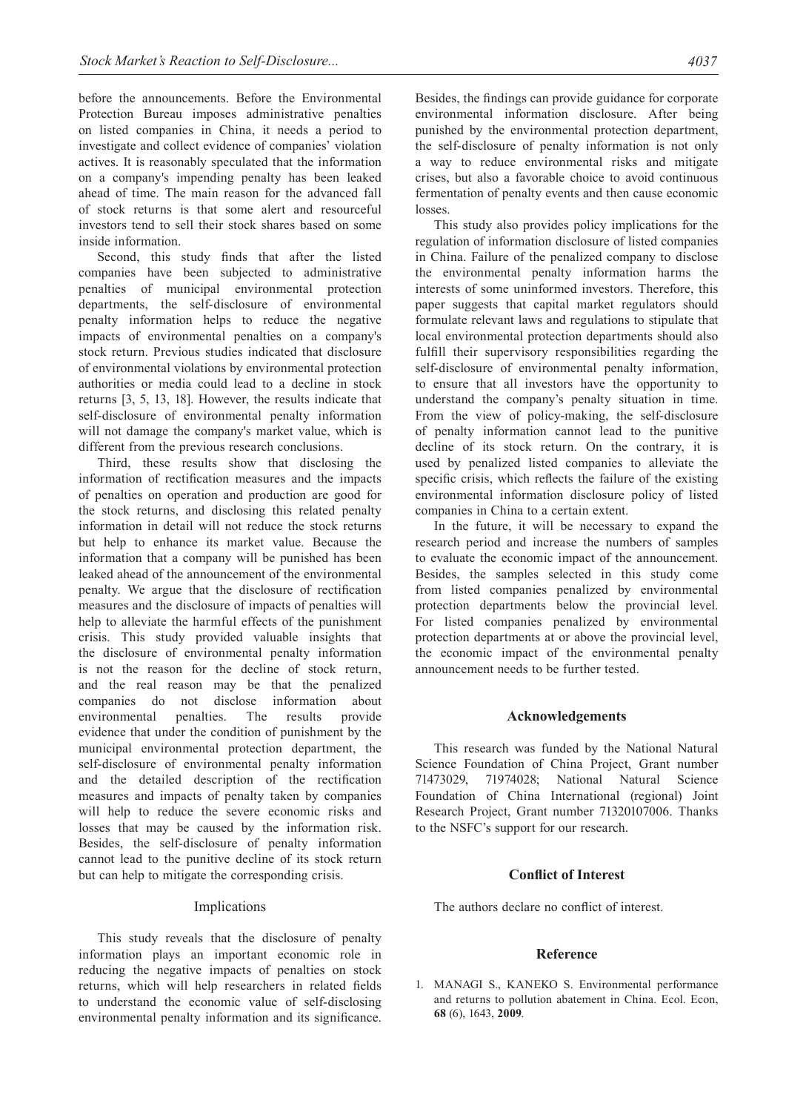before the announcements. Before the Environmental Protection Bureau imposes administrative penalties on listed companies in China, it needs a period to investigate and collect evidence of companies' violation actives. It is reasonably speculated that the information on a company's impending penalty has been leaked ahead of time. The main reason for the advanced fall of stock returns is that some alert and resourceful investors tend to sell their stock shares based on some inside information.

Second, this study finds that after the listed companies have been subjected to administrative penalties of municipal environmental protection departments, the self-disclosure of environmental penalty information helps to reduce the negative impacts of environmental penalties on a company's stock return. Previous studies indicated that disclosure of environmental violations by environmental protection authorities or media could lead to a decline in stock returns [3, 5, 13, 18]. However, the results indicate that self-disclosure of environmental penalty information will not damage the company's market value, which is different from the previous research conclusions.

Third, these results show that disclosing the information of rectification measures and the impacts of penalties on operation and production are good for the stock returns, and disclosing this related penalty information in detail will not reduce the stock returns but help to enhance its market value. Because the information that a company will be punished has been leaked ahead of the announcement of the environmental penalty. We argue that the disclosure of rectification measures and the disclosure of impacts of penalties will help to alleviate the harmful effects of the punishment crisis. This study provided valuable insights that the disclosure of environmental penalty information is not the reason for the decline of stock return, and the real reason may be that the penalized companies do not disclose information about environmental penalties. The results provide evidence that under the condition of punishment by the municipal environmental protection department, the self-disclosure of environmental penalty information and the detailed description of the rectification measures and impacts of penalty taken by companies will help to reduce the severe economic risks and losses that may be caused by the information risk. Besides, the self-disclosure of penalty information cannot lead to the punitive decline of its stock return but can help to mitigate the corresponding crisis.

## Implications

This study reveals that the disclosure of penalty information plays an important economic role in reducing the negative impacts of penalties on stock returns, which will help researchers in related fields to understand the economic value of self-disclosing environmental penalty information and its significance.

Besides, the findings can provide guidance for corporate environmental information disclosure. After being punished by the environmental protection department, the self-disclosure of penalty information is not only a way to reduce environmental risks and mitigate crises, but also a favorable choice to avoid continuous fermentation of penalty events and then cause economic losses.

This study also provides policy implications for the regulation of information disclosure of listed companies in China. Failure of the penalized company to disclose the environmental penalty information harms the interests of some uninformed investors. Therefore, this paper suggests that capital market regulators should formulate relevant laws and regulations to stipulate that local environmental protection departments should also fulfill their supervisory responsibilities regarding the self-disclosure of environmental penalty information, to ensure that all investors have the opportunity to understand the company's penalty situation in time. From the view of policy-making, the self-disclosure of penalty information cannot lead to the punitive decline of its stock return. On the contrary, it is used by penalized listed companies to alleviate the specific crisis, which reflects the failure of the existing environmental information disclosure policy of listed companies in China to a certain extent.

In the future, it will be necessary to expand the research period and increase the numbers of samples to evaluate the economic impact of the announcement. Besides, the samples selected in this study come from listed companies penalized by environmental protection departments below the provincial level. For listed companies penalized by environmental protection departments at or above the provincial level, the economic impact of the environmental penalty announcement needs to be further tested.

## **Acknowledgements**

This research was funded by the National Natural Science Foundation of China Project, Grant number 71473029, 71974028; National Natural Science Foundation of China International (regional) Joint Research Project, Grant number 71320107006. Thanks to the NSFC's support for our research.

## **Conflict of Interest**

The authors declare no conflict of interest.

## **Reference**

1. MANAGI S., KANEKO S. Environmental performance and returns to pollution abatement in China. Ecol. Econ, **68** (6), 1643, **2009**.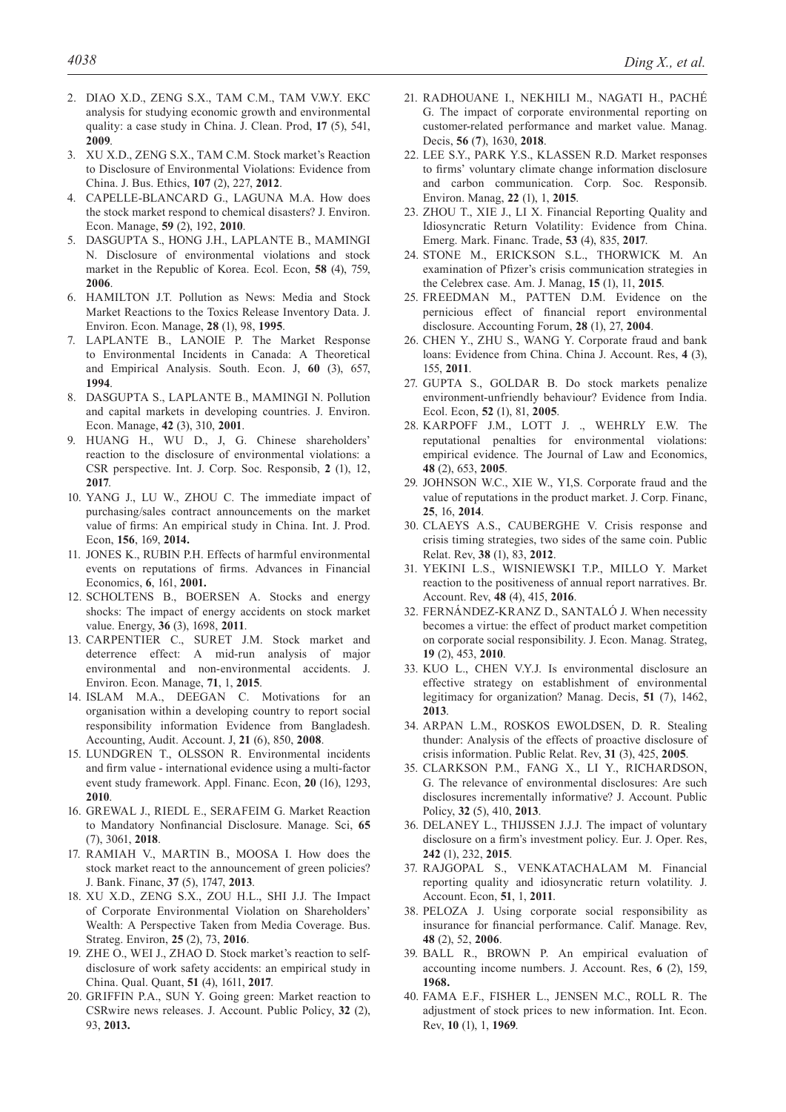- 2. DIAO X.D., ZENG S.X., TAM C.M., TAM V.W.Y. EKC analysis for studying economic growth and environmental quality: a case study in China. J. Clean. Prod, **17** (5), 541, **2009**.
- 3. XU X.D., ZENG S.X., TAM C.M. Stock market's Reaction to Disclosure of Environmental Violations: Evidence from China. J. Bus. Ethics, **107** (2), 227, **2012**.
- 4. CAPELLE-BLANCARD G., LAGUNA M.A. How does the stock market respond to chemical disasters? J. Environ. Econ. Manage, **59** (2), 192, **2010**.
- 5. DASGUPTA S., HONG J.H., LAPLANTE B., MAMINGI N. Disclosure of environmental violations and stock market in the Republic of Korea. Ecol. Econ, **58** (4), 759, **2006**.
- 6. HAMILTON J.T. Pollution as News: Media and Stock Market Reactions to the Toxics Release Inventory Data. J. Environ. Econ. Manage, **28** (1), 98, **1995**.
- 7. LAPLANTE B., LANOIE P. The Market Response to Environmental Incidents in Canada: A Theoretical and Empirical Analysis. South. Econ. J, **60** (3), 657, **1994**.
- 8. DASGUPTA S., LAPLANTE B., MAMINGI N. Pollution and capital markets in developing countries. J. Environ. Econ. Manage, **42** (3), 310, **2001**.
- 9. HUANG H., WU D., J, G. Chinese shareholders' reaction to the disclosure of environmental violations: a CSR perspective. Int. J. Corp. Soc. Responsib, **2** (1), 12, **2017**.
- 10. YANG J., LU W., ZHOU C. The immediate impact of purchasing/sales contract announcements on the market value of firms: An empirical study in China. Int. J. Prod. Econ, **156**, 169, **2014.**
- 11. JONES K., RUBIN P.H. Effects of harmful environmental events on reputations of firms. Advances in Financial Economics, **6**, 161, **2001.**
- 12. SCHOLTENS B., BOERSEN A. Stocks and energy shocks: The impact of energy accidents on stock market value. Energy, **36** (3), 1698, **2011**.
- 13. CARPENTIER C., SURET J.M. Stock market and deterrence effect: A mid-run analysis of major environmental and non-environmental accidents. J. Environ. Econ. Manage, **71**, 1, **2015**.
- 14. ISLAM M.A., DEEGAN C. Motivations for an organisation within a developing country to report social responsibility information Evidence from Bangladesh. Accounting, Audit. Account. J, **21** (6), 850, **2008**.
- 15. LUNDGREN T., OLSSON R. Environmental incidents and firm value - international evidence using a multi-factor event study framework. Appl. Financ. Econ, **20** (16), 1293, **2010**.
- 16. GREWAL J., RIEDL E., SERAFEIM G. Market Reaction to Mandatory Nonfinancial Disclosure. Manage. Sci, **65**  (7), 3061, **2018**.
- 17. RAMIAH V., MARTIN B., MOOSA I. How does the stock market react to the announcement of green policies? J. Bank. Financ, **37** (5), 1747, **2013**.
- 18. XU X.D., ZENG S.X., ZOU H.L., SHI J.J. The Impact of Corporate Environmental Violation on Shareholders' Wealth: A Perspective Taken from Media Coverage. Bus. Strateg. Environ, **25** (2), 73, **2016**.
- 19. ZHE O., WEI J., ZHAO D. Stock market's reaction to selfdisclosure of work safety accidents: an empirical study in China. Qual. Quant, **51** (4), 1611, **2017**.
- 20. GRIFFIN P.A., SUN Y. Going green: Market reaction to CSRwire news releases. J. Account. Public Policy, **32** (2), 93, **2013.**
- 21. RADHOUANE I., NEKHILI M., NAGATI H., PACHÉ G. The impact of corporate environmental reporting on customer-related performance and market value. Manag. Decis, **56** (**7**), 1630, **2018**.
- 22. LEE S.Y., PARK Y.S., KLASSEN R.D. Market responses to firms' voluntary climate change information disclosure and carbon communication. Corp. Soc. Responsib. Environ. Manag, **22** (1), 1, **2015**.
- 23. ZHOU T., XIE J., LI X. Financial Reporting Quality and Idiosyncratic Return Volatility: Evidence from China. Emerg. Mark. Financ. Trade, **53** (4), 835, **2017**.
- 24. STONE M., ERICKSON S.L., THORWICK M. An examination of Pfizer's crisis communication strategies in the Celebrex case. Am. J. Manag, **15** (1), 11, **2015**.
- 25. FREEDMAN M., PATTEN D.M. Evidence on the pernicious effect of financial report environmental disclosure. Accounting Forum, **28** (1), 27, **2004**.
- 26. CHEN Y., ZHU S., WANG Y. Corporate fraud and bank loans: Evidence from China. China J. Account. Res, **4** (3), 155, **2011**.
- 27. GUPTA S., GOLDAR B. Do stock markets penalize environment-unfriendly behaviour? Evidence from India. Ecol. Econ, **52** (1), 81, **2005**.
- 28. KARPOFF J.M., LOTT J. ., WEHRLY E.W. The reputational penalties for environmental violations: empirical evidence. The Journal of Law and Economics, **48** (2), 653, **2005**.
- 29. JOHNSON W.C., XIE W., YI,S. Corporate fraud and the value of reputations in the product market. J. Corp. Financ, **25**, 16, **2014**.
- 30. CLAEYS A.S., CAUBERGHE V. Crisis response and crisis timing strategies, two sides of the same coin. Public Relat. Rev, **38** (1), 83, **2012**.
- 31. YEKINI L.S., WISNIEWSKI T.P., MILLO Y. Market reaction to the positiveness of annual report narratives. Br. Account. Rev, **48** (4), 415, **2016**.
- 32. FERNÁNDEZ-KRANZ D., SANTALÓ J. When necessity becomes a virtue: the effect of product market competition on corporate social responsibility. J. Econ. Manag. Strateg, **19** (2), 453, **2010**.
- 33. KUO L., CHEN V.Y.J. Is environmental disclosure an effective strategy on establishment of environmental legitimacy for organization? Manag. Decis, **51** (7), 1462, **2013**.
- 34. ARPAN L.M., ROSKOS EWOLDSEN, D. R. Stealing thunder: Analysis of the effects of proactive disclosure of crisis information. Public Relat. Rev, **31** (3), 425, **2005**.
- 35. CLARKSON P.M., FANG X., LI Y., RICHARDSON, G. The relevance of environmental disclosures: Are such disclosures incrementally informative? J. Account. Public Policy, **32** (5), 410, **2013**.
- 36. DELANEY L., THIJSSEN J.J.J. The impact of voluntary disclosure on a firm's investment policy. Eur. J. Oper. Res, **242** (1), 232, **2015**.
- 37. RAJGOPAL S., VENKATACHALAM M. Financial reporting quality and idiosyncratic return volatility. J. Account. Econ, **51**, 1, **2011**.
- 38. PELOZA J. Using corporate social responsibility as insurance for financial performance. Calif. Manage. Rev, **48** (2), 52, **2006**.
- 39. BALL R., BROWN P. An empirical evaluation of accounting income numbers. J. Account. Res, **6** (2), 159, **1968.**
- 40. FAMA E.F., FISHER L., JENSEN M.C., ROLL R. The adjustment of stock prices to new information. Int. Econ. Rev, **10** (1), 1, **1969**.